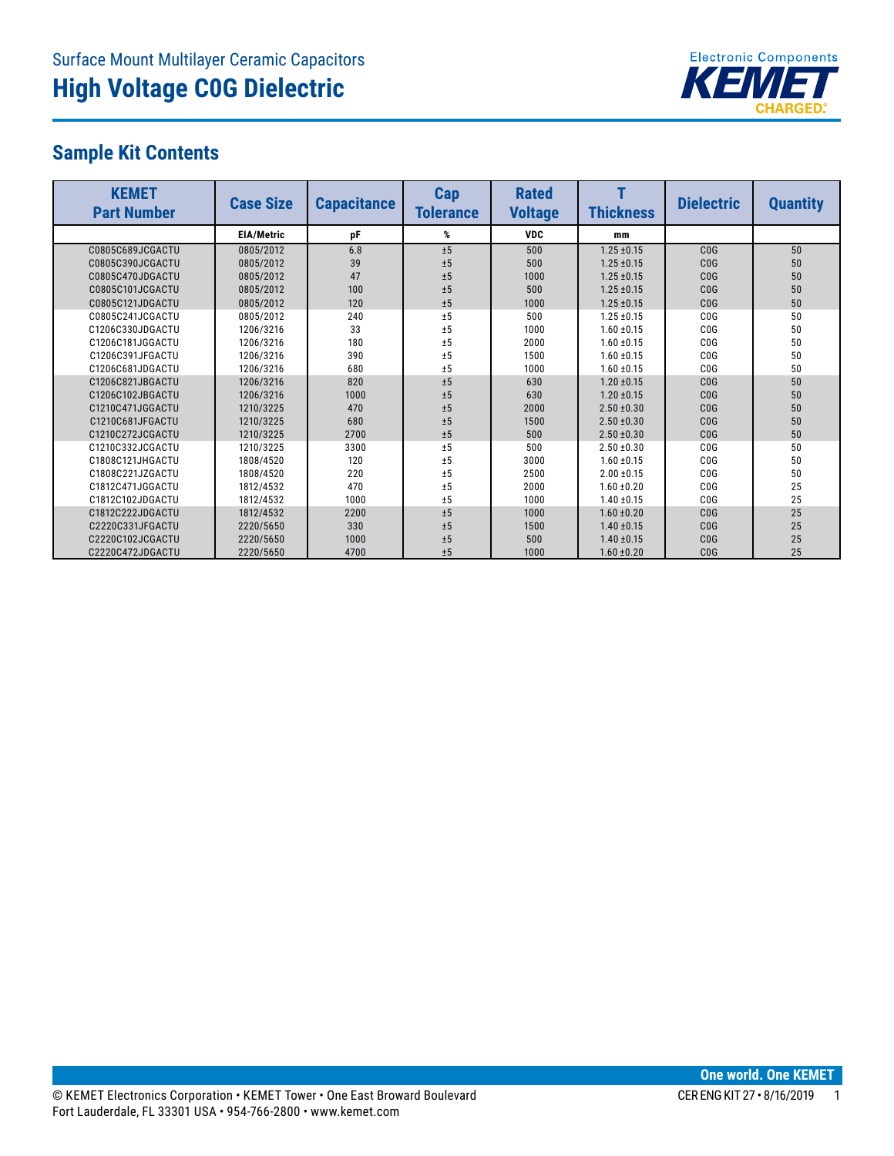

## **Sample Kit Contents**

| <b>KEMET</b><br><b>Part Number</b> | <b>Case Size</b>  | <b>Capacitance</b> | Cap<br><b>Tolerance</b> | <b>Rated</b><br><b>Voltage</b> | <b>Thickness</b> | <b>Dielectric</b> | <b>Quantity</b> |
|------------------------------------|-------------------|--------------------|-------------------------|--------------------------------|------------------|-------------------|-----------------|
|                                    | <b>EIA/Metric</b> | pF                 | %                       | <b>VDC</b>                     | mm               |                   |                 |
| C0805C689JCGACTU                   | 0805/2012         | 6.8                | ±5                      | 500                            | $1.25 \pm 0.15$  | COG               | 50              |
| C0805C390JCGACTU                   | 0805/2012         | 39                 | ±5                      | 500                            | $1.25 \pm 0.15$  | CO <sub>G</sub>   | 50              |
| C0805C470JDGACTU                   | 0805/2012         | 47                 | ±5                      | 1000                           | $1.25 \pm 0.15$  | CO <sub>G</sub>   | 50              |
| C0805C101JCGACTU                   | 0805/2012         | 100                | ±5                      | 500                            | $1.25 \pm 0.15$  | CO <sub>G</sub>   | 50              |
| C0805C121JDGACTU                   | 0805/2012         | 120                | ±5                      | 1000                           | $1.25 \pm 0.15$  | COG               | 50              |
| C0805C241JCGACTU                   | 0805/2012         | 240                | ±5                      | 500                            | $1.25 \pm 0.15$  | COG               | 50              |
| C1206C330JDGACTU                   | 1206/3216         | 33                 | ±5                      | 1000                           | $1.60 \pm 0.15$  | CO <sub>G</sub>   | 50              |
| C1206C181JGGACTU                   | 1206/3216         | 180                | ±5                      | 2000                           | $1.60 \pm 0.15$  | COG               | 50              |
| C1206C391JFGACTU                   | 1206/3216         | 390                | ±5                      | 1500                           | $1.60 \pm 0.15$  | COG               | 50              |
| C1206C681JDGACTU                   | 1206/3216         | 680                | ±5                      | 1000                           | $1.60 \pm 0.15$  | CO <sub>G</sub>   | 50              |
| C1206C821JBGACTU                   | 1206/3216         | 820                | ±5                      | 630                            | $1.20 \pm 0.15$  | COG               | 50              |
| C1206C102JBGACTU                   | 1206/3216         | 1000               | ±5                      | 630                            | $1.20 \pm 0.15$  | C <sub>0</sub> G  | 50              |
| C1210C471JGGACTU                   | 1210/3225         | 470                | ±5                      | 2000                           | $2.50 \pm 0.30$  | C <sub>0</sub> G  | 50              |
| C1210C681JFGACTU                   | 1210/3225         | 680                | ±5                      | 1500                           | $2.50 \pm 0.30$  | COG               | 50              |
| C1210C272JCGACTU                   | 1210/3225         | 2700               | ±5                      | 500                            | $2.50 \pm 0.30$  | COG               | 50              |
| C1210C332JCGACTU                   | 1210/3225         | 3300               | ±5                      | 500                            | $2.50 \pm 0.30$  | COG               | 50              |
| C1808C121JHGACTU                   | 1808/4520         | 120                | ±5                      | 3000                           | $1.60 \pm 0.15$  | COG               | 50              |
| C1808C221JZGACTU                   | 1808/4520         | 220                | ±5                      | 2500                           | $2.00 \pm 0.15$  | C <sub>0</sub> G  | 50              |
| C1812C471JGGACTU                   | 1812/4532         | 470                | ±5                      | 2000                           | $1.60 \pm 0.20$  | COG               | 25              |
| C1812C102JDGACTU                   | 1812/4532         | 1000               | ±5                      | 1000                           | $1.40 \pm 0.15$  | COG               | 25              |
| C1812C222JDGACTU                   | 1812/4532         | 2200               | ±5                      | 1000                           | $1.60 \pm 0.20$  | COG               | 25              |
| C2220C331JFGACTU                   | 2220/5650         | 330                | ±5                      | 1500                           | $1.40 \pm 0.15$  | CO <sub>G</sub>   | 25              |
| C2220C102JCGACTU                   | 2220/5650         | 1000               | ±5                      | 500                            | $1.40 \pm 0.15$  | C <sub>0</sub> G  | 25              |
| C2220C472JDGACTU                   | 2220/5650         | 4700               | ±5                      | 1000                           | $1.60 \pm 0.20$  | C <sub>0</sub> G  | 25              |